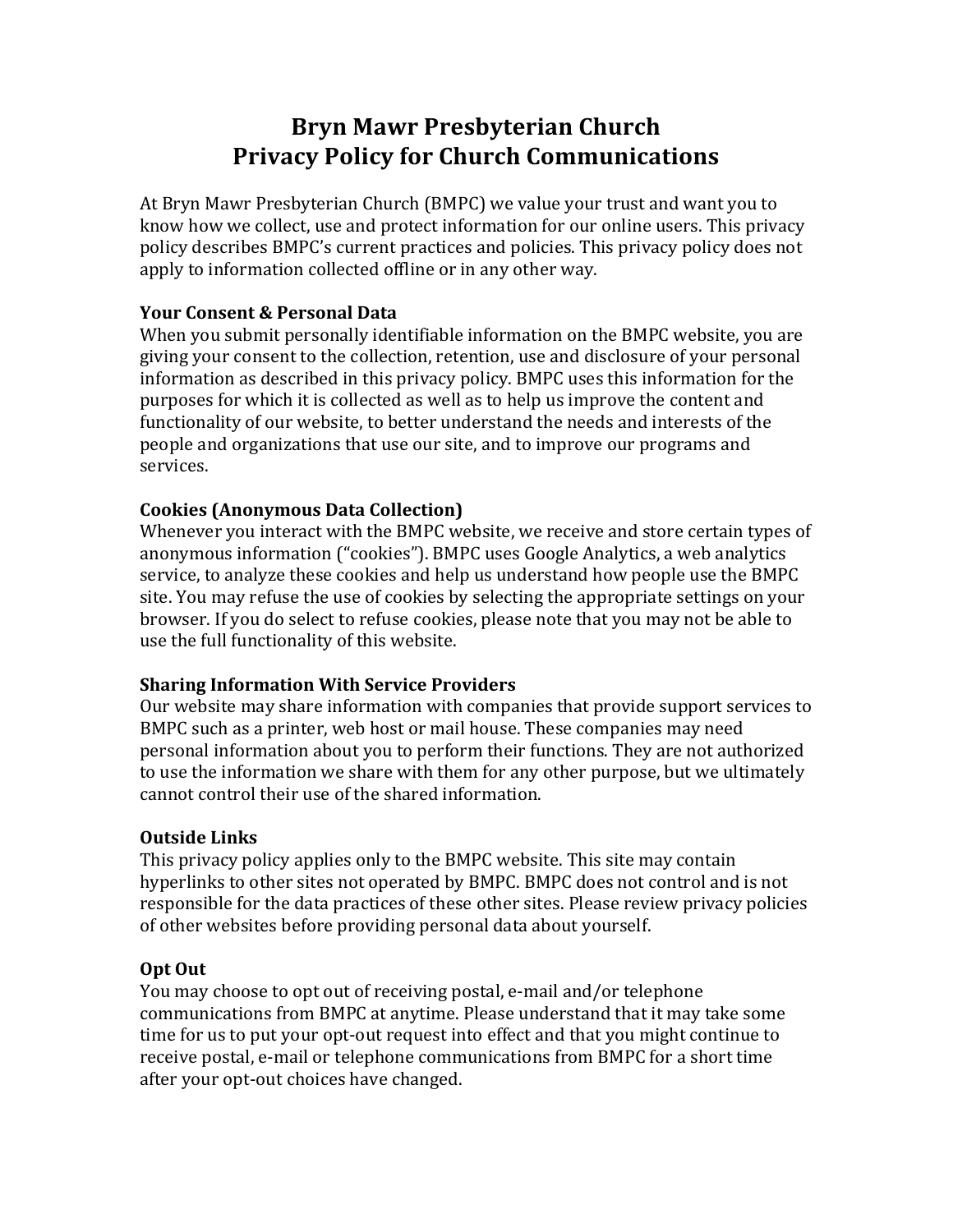# **Bryn Mawr Presbyterian Church Privacy Policy for Church Communications**

At Bryn Mawr Presbyterian Church (BMPC) we value your trust and want you to know how we collect, use and protect information for our online users. This privacy policy describes BMPC's current practices and policies. This privacy policy does not apply to information collected offline or in any other way.

## **Your Consent & Personal Data**

When you submit personally identifiable information on the BMPC website, you are giving your consent to the collection, retention, use and disclosure of your personal information as described in this privacy policy. BMPC uses this information for the purposes for which it is collected as well as to help us improve the content and functionality of our website, to better understand the needs and interests of the people and organizations that use our site, and to improve our programs and services.

## **Cookies (Anonymous Data Collection)**

Whenever you interact with the BMPC website, we receive and store certain types of anonymous information ("cookies"). BMPC uses Google Analytics, a web analytics service, to analyze these cookies and help us understand how people use the BMPC site. You may refuse the use of cookies by selecting the appropriate settings on your browser. If you do select to refuse cookies, please note that you may not be able to use the full functionality of this website.

# **Sharing Information With Service Providers**

Our website may share information with companies that provide support services to BMPC such as a printer, web host or mail house. These companies may need personal information about you to perform their functions. They are not authorized to use the information we share with them for any other purpose, but we ultimately cannot control their use of the shared information.

#### **Outside Links**

This privacy policy applies only to the BMPC website. This site may contain hyperlinks to other sites not operated by BMPC. BMPC does not control and is not responsible for the data practices of these other sites. Please review privacy policies of other websites before providing personal data about yourself.

# **Opt Out**

You may choose to opt out of receiving postal, e-mail and/or telephone communications from BMPC at anytime. Please understand that it may take some time for us to put your opt-out request into effect and that you might continue to receive postal, e-mail or telephone communications from BMPC for a short time after your opt-out choices have changed.